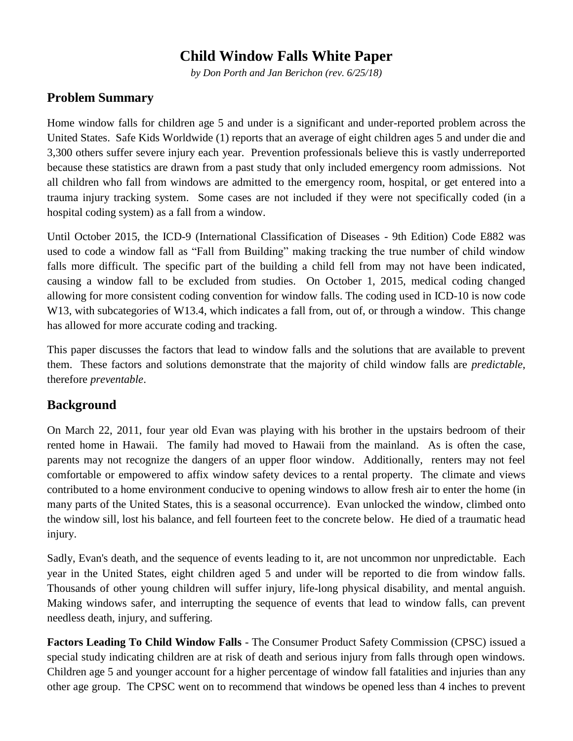# **Child Window Falls White Paper**

*by Don Porth and Jan Berichon (rev. 6/25/18)*

## **Problem Summary**

Home window falls for children age 5 and under is a significant and under-reported problem across the United States. Safe Kids Worldwide (1) reports that an average of eight children ages 5 and under die and 3,300 others suffer severe injury each year. Prevention professionals believe this is vastly underreported because these statistics are drawn from a past study that only included emergency room admissions. Not all children who fall from windows are admitted to the emergency room, hospital, or get entered into a trauma injury tracking system. Some cases are not included if they were not specifically coded (in a hospital coding system) as a fall from a window.

Until October 2015, the ICD-9 (International Classification of Diseases - 9th Edition) Code E882 was used to code a window fall as "Fall from Building" making tracking the true number of child window falls more difficult. The specific part of the building a child fell from may not have been indicated, causing a window fall to be excluded from studies. On October 1, 2015, medical coding changed allowing for more consistent coding convention for window falls. The coding used in [ICD-10](http://www.icd10data.com/Convert/E882) is now code W<sub>13</sub>, with subcategories of W<sub>13</sub>.4, which indicates a fall from, out of, or through a window. This change has allowed for more accurate coding and tracking.

This paper discusses the factors that lead to window falls and the solutions that are available to prevent them. These factors and solutions demonstrate that the majority of child window falls are *predictable*, therefore *preventable*.

# **Background**

On March 22, 2011, four year old Evan was playing with his brother in the upstairs bedroom of their rented home in Hawaii. The family had moved to Hawaii from the mainland. As is often the case, parents may not recognize the dangers of an upper floor window. Additionally, renters may not feel comfortable or empowered to affix window safety devices to a rental property. The climate and views contributed to a home environment conducive to opening windows to allow fresh air to enter the home (in many parts of the United States, this is a seasonal occurrence). Evan unlocked the window, climbed onto the window sill, lost his balance, and fell fourteen feet to the concrete below. He died of a traumatic head injury.

Sadly, Evan's death, and the sequence of events leading to it, are not uncommon nor unpredictable. Each year in the United States, eight children aged 5 and under will be reported to die from window falls. Thousands of other young children will suffer injury, life-long physical disability, and mental anguish. Making windows safer, and interrupting the sequence of events that lead to window falls, can prevent needless death, injury, and suffering.

**Factors Leading To Child Window Falls** - The Consumer Product Safety Commission (CPSC) issued a special study indicating children are at risk of death and serious injury from falls through open windows. Children age 5 and younger account for a higher percentage of window fall fatalities and injuries than any other age group. The CPSC went on to recommend that windows be opened less than 4 inches to prevent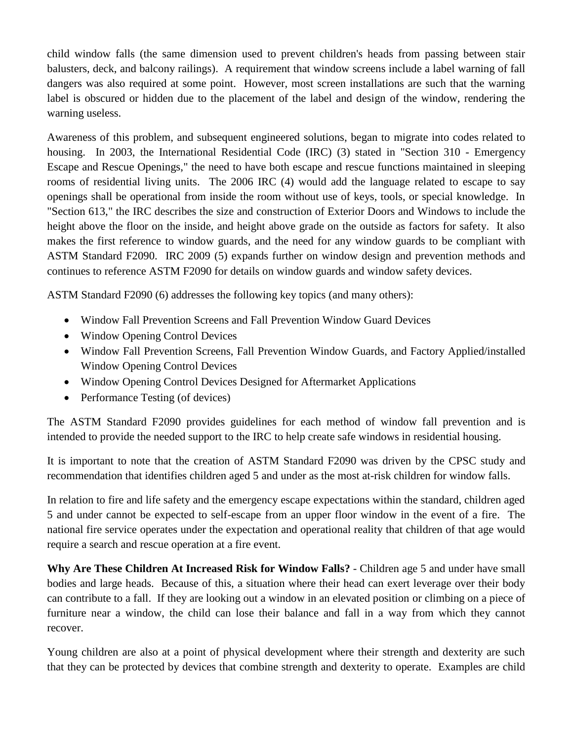child window falls (the same dimension used to prevent children's heads from passing between stair balusters, deck, and balcony railings). A requirement that window screens include a label warning of fall dangers was also required at some point. However, most screen installations are such that the warning label is obscured or hidden due to the placement of the label and design of the window, rendering the warning useless.

Awareness of this problem, and subsequent engineered solutions, began to migrate into codes related to housing. In 2003, the International Residential Code (IRC) (3) stated in "Section 310 - Emergency Escape and Rescue Openings," the need to have both escape and rescue functions maintained in sleeping rooms of residential living units. The 2006 IRC (4) would add the language related to escape to say openings shall be operational from inside the room without use of keys, tools, or special knowledge. In "Section 613," the IRC describes the size and construction of Exterior Doors and Windows to include the height above the floor on the inside, and height above grade on the outside as factors for safety. It also makes the first reference to window guards, and the need for any window guards to be compliant with ASTM Standard F2090. IRC 2009 (5) expands further on window design and prevention methods and continues to reference ASTM F2090 for details on window guards and window safety devices.

ASTM Standard F2090 (6) addresses the following key topics (and many others):

- Window Fall Prevention Screens and Fall Prevention Window Guard Devices
- Window Opening Control Devices
- Window Fall Prevention Screens, Fall Prevention Window Guards, and Factory Applied/installed Window Opening Control Devices
- Window Opening Control Devices Designed for Aftermarket Applications
- Performance Testing (of devices)

The ASTM Standard F2090 provides guidelines for each method of window fall prevention and is intended to provide the needed support to the IRC to help create safe windows in residential housing.

It is important to note that the creation of ASTM Standard F2090 was driven by the CPSC study and recommendation that identifies children aged 5 and under as the most at-risk children for window falls.

In relation to fire and life safety and the emergency escape expectations within the standard, children aged 5 and under cannot be expected to self-escape from an upper floor window in the event of a fire. The national fire service operates under the expectation and operational reality that children of that age would require a search and rescue operation at a fire event.

**Why Are These Children At Increased Risk for Window Falls?** - Children age 5 and under have small bodies and large heads. Because of this, a situation where their head can exert leverage over their body can contribute to a fall. If they are looking out a window in an elevated position or climbing on a piece of furniture near a window, the child can lose their balance and fall in a way from which they cannot recover.

Young children are also at a point of physical development where their strength and dexterity are such that they can be protected by devices that combine strength and dexterity to operate. Examples are child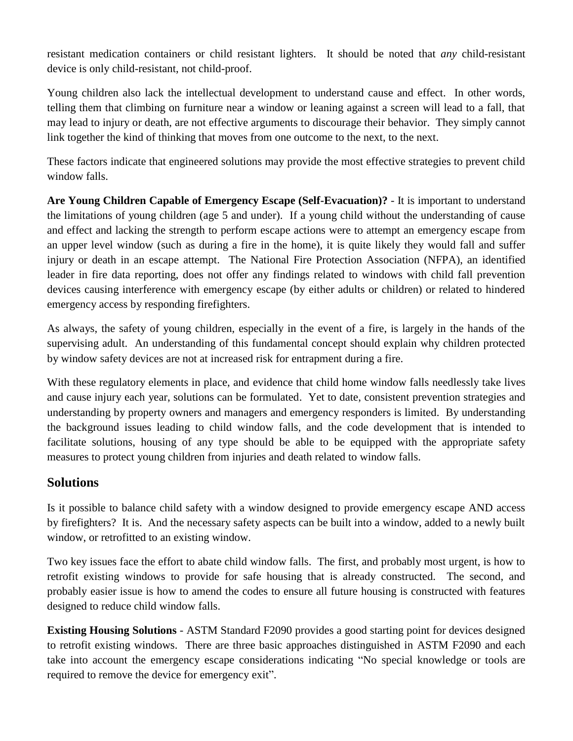resistant medication containers or child resistant lighters. It should be noted that *any* child-resistant device is only child-resistant, not child-proof.

Young children also lack the intellectual development to understand cause and effect. In other words, telling them that climbing on furniture near a window or leaning against a screen will lead to a fall, that may lead to injury or death, are not effective arguments to discourage their behavior. They simply cannot link together the kind of thinking that moves from one outcome to the next, to the next.

These factors indicate that engineered solutions may provide the most effective strategies to prevent child window falls.

**Are Young Children Capable of Emergency Escape (Self-Evacuation)?** - It is important to understand the limitations of young children (age 5 and under). If a young child without the understanding of cause and effect and lacking the strength to perform escape actions were to attempt an emergency escape from an upper level window (such as during a fire in the home), it is quite likely they would fall and suffer injury or death in an escape attempt. The National Fire Protection Association (NFPA), an identified leader in fire data reporting, does not offer any findings related to windows with child fall prevention devices causing interference with emergency escape (by either adults or children) or related to hindered emergency access by responding firefighters.

As always, the safety of young children, especially in the event of a fire, is largely in the hands of the supervising adult. An understanding of this fundamental concept should explain why children protected by window safety devices are not at increased risk for entrapment during a fire.

With these regulatory elements in place, and evidence that child home window falls needlessly take lives and cause injury each year, solutions can be formulated. Yet to date, consistent prevention strategies and understanding by property owners and managers and emergency responders is limited. By understanding the background issues leading to child window falls, and the code development that is intended to facilitate solutions, housing of any type should be able to be equipped with the appropriate safety measures to protect young children from injuries and death related to window falls.

#### **Solutions**

Is it possible to balance child safety with a window designed to provide emergency escape AND access by firefighters? It is. And the necessary safety aspects can be built into a window, added to a newly built window, or retrofitted to an existing window.

Two key issues face the effort to abate child window falls. The first, and probably most urgent, is how to retrofit existing windows to provide for safe housing that is already constructed. The second, and probably easier issue is how to amend the codes to ensure all future housing is constructed with features designed to reduce child window falls.

**Existing Housing Solutions** - ASTM Standard F2090 provides a good starting point for devices designed to retrofit existing windows. There are three basic approaches distinguished in ASTM F2090 and each take into account the emergency escape considerations indicating "No special knowledge or tools are required to remove the device for emergency exit".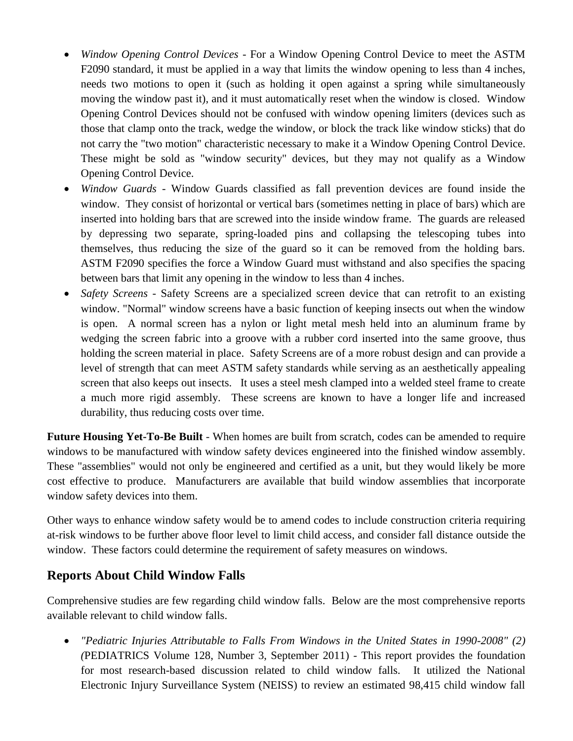- *Window Opening Control Devices* For a Window Opening Control Device to meet the ASTM F2090 standard, it must be applied in a way that limits the window opening to less than 4 inches, needs two motions to open it (such as holding it open against a spring while simultaneously moving the window past it), and it must automatically reset when the window is closed. Window Opening Control Devices should not be confused with window opening limiters (devices such as those that clamp onto the track, wedge the window, or block the track like window sticks) that do not carry the "two motion" characteristic necessary to make it a Window Opening Control Device. These might be sold as "window security" devices, but they may not qualify as a Window Opening Control Device.
- *Window Guards* Window Guards classified as fall prevention devices are found inside the window. They consist of horizontal or vertical bars (sometimes netting in place of bars) which are inserted into holding bars that are screwed into the inside window frame. The guards are released by depressing two separate, spring-loaded pins and collapsing the telescoping tubes into themselves, thus reducing the size of the guard so it can be removed from the holding bars. ASTM F2090 specifies the force a Window Guard must withstand and also specifies the spacing between bars that limit any opening in the window to less than 4 inches.
- *Safety Screens* Safety Screens are a specialized screen device that can retrofit to an existing window. "Normal" window screens have a basic function of keeping insects out when the window is open. A normal screen has a nylon or light metal mesh held into an aluminum frame by wedging the screen fabric into a groove with a rubber cord inserted into the same groove, thus holding the screen material in place. Safety Screens are of a more robust design and can provide a level of strength that can meet ASTM safety standards while serving as an aesthetically appealing screen that also keeps out insects. It uses a steel mesh clamped into a welded steel frame to create a much more rigid assembly. These screens are known to have a longer life and increased durability, thus reducing costs over time.

**Future Housing Yet-To-Be Built** - When homes are built from scratch, codes can be amended to require windows to be manufactured with window safety devices engineered into the finished window assembly. These "assemblies" would not only be engineered and certified as a unit, but they would likely be more cost effective to produce. Manufacturers are available that build window assemblies that incorporate window safety devices into them.

Other ways to enhance window safety would be to amend codes to include construction criteria requiring at-risk windows to be further above floor level to limit child access, and consider fall distance outside the window. These factors could determine the requirement of safety measures on windows.

# **Reports About Child Window Falls**

Comprehensive studies are few regarding child window falls. Below are the most comprehensive reports available relevant to child window falls.

 *"Pediatric Injuries Attributable to Falls From Windows in the United States in 1990-2008" (2) (*[PEDIATRICS Volume 128, Number 3, September 2011\)](http://pediatrics.aappublications.org/content/128/3/455) *-* This report provides the foundation for most research-based discussion related to child window falls. It utilized the National Electronic Injury Surveillance System (NEISS) to review an estimated 98,415 child window fall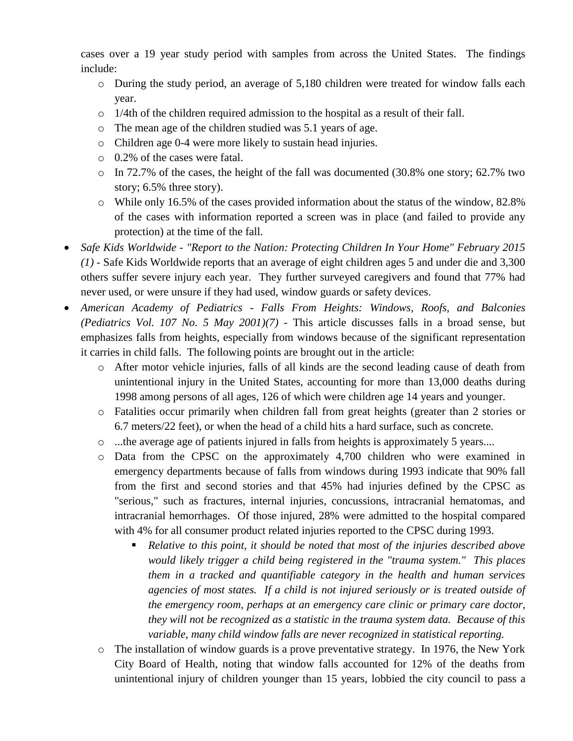cases over a 19 year study period with samples from across the United States. The findings include:

- o During the study period, an average of 5,180 children were treated for window falls each year.
- o 1/4th of the children required admission to the hospital as a result of their fall.
- o The mean age of the children studied was 5.1 years of age.
- o Children age 0-4 were more likely to sustain head injuries.
- o 0.2% of the cases were fatal.
- $\circ$  In 72.7% of the cases, the height of the fall was documented (30.8% one story; 62.7% two story; 6.5% three story).
- $\circ$  While only 16.5% of the cases provided information about the status of the window, 82.8% of the cases with information reported a screen was in place (and failed to provide any protection) at the time of the fall.
- *Safe Kids Worldwide - "Report to the Nation: Protecting Children In Your Home" February 2015 (1)* - Safe Kids Worldwide reports that an average of eight children ages 5 and under die and 3,300 others suffer severe injury each year. They further surveyed caregivers and found that 77% had never used, or were unsure if they had used, window guards or safety devices.
- *American Academy of Pediatrics - Falls From Heights: Windows, Roofs, and Balconies (Pediatrics Vol. 107 No. 5 May 2001)(7) -* This article discusses falls in a broad sense, but emphasizes falls from heights, especially from windows because of the significant representation it carries in child falls. The following points are brought out in the article:
	- o After motor vehicle injuries, falls of all kinds are the second leading cause of death from unintentional injury in the United States, accounting for more than 13,000 deaths during 1998 among persons of all ages, 126 of which were children age 14 years and younger.
	- o Fatalities occur primarily when children fall from great heights (greater than 2 stories or 6.7 meters/22 feet), or when the head of a child hits a hard surface, such as concrete.
	- o ...the average age of patients injured in falls from heights is approximately 5 years....
	- o Data from the CPSC on the approximately 4,700 children who were examined in emergency departments because of falls from windows during 1993 indicate that 90% fall from the first and second stories and that 45% had injuries defined by the CPSC as "serious," such as fractures, internal injuries, concussions, intracranial hematomas, and intracranial hemorrhages. Of those injured, 28% were admitted to the hospital compared with 4% for all consumer product related injuries reported to the CPSC during 1993.
		- *Relative to this point, it should be noted that most of the injuries described above would likely trigger a child being registered in the "trauma system." This places them in a tracked and quantifiable category in the health and human services agencies of most states. If a child is not injured seriously or is treated outside of the emergency room, perhaps at an emergency care clinic or primary care doctor, they will not be recognized as a statistic in the trauma system data. Because of this variable, many child window falls are never recognized in statistical reporting.*
	- o The installation of window guards is a prove preventative strategy. In 1976, the New York City Board of Health, noting that window falls accounted for 12% of the deaths from unintentional injury of children younger than 15 years, lobbied the city council to pass a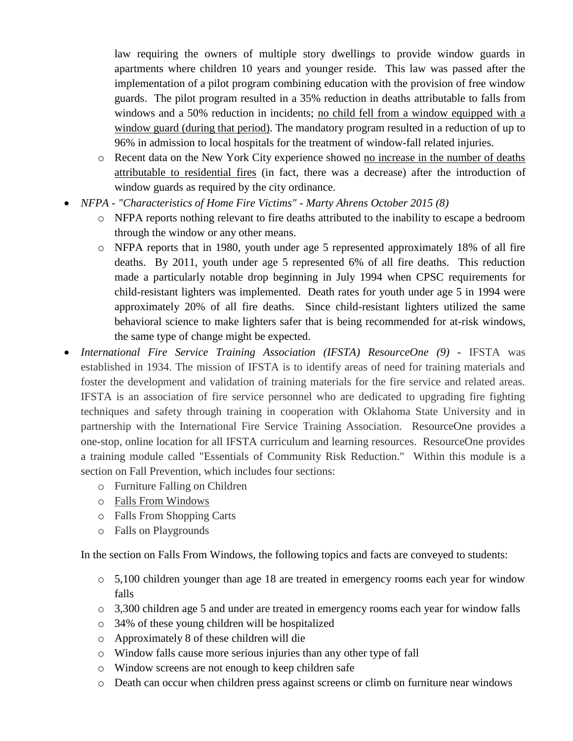law requiring the owners of multiple story dwellings to provide window guards in apartments where children 10 years and younger reside. This law was passed after the implementation of a pilot program combining education with the provision of free window guards. The pilot program resulted in a 35% reduction in deaths attributable to falls from windows and a 50% reduction in incidents; no child fell from a window equipped with a window guard (during that period). The mandatory program resulted in a reduction of up to 96% in admission to local hospitals for the treatment of window-fall related injuries.

- o Recent data on the New York City experience showed no increase in the number of deaths attributable to residential fires (in fact, there was a decrease) after the introduction of window guards as required by the city ordinance.
- *NFPA - "Characteristics of Home Fire Victims" - Marty Ahrens October 2015 (8)*
	- o NFPA reports nothing relevant to fire deaths attributed to the inability to escape a bedroom through the window or any other means.
	- o NFPA reports that in 1980, youth under age 5 represented approximately 18% of all fire deaths. By 2011, youth under age 5 represented 6% of all fire deaths. This reduction made a particularly notable drop beginning in July 1994 when CPSC requirements for child-resistant lighters was implemented. Death rates for youth under age 5 in 1994 were approximately 20% of all fire deaths. Since child-resistant lighters utilized the same behavioral science to make lighters safer that is being recommended for at-risk windows, the same type of change might be expected.
- *International Fire Service Training Association (IFSTA) ResourceOne (9) -* IFSTA was established in 1934. The mission of IFSTA is to identify areas of need for training materials and foster the development and validation of training materials for the fire service and related areas. IFSTA is an association of fire service personnel who are dedicated to upgrading fire fighting techniques and safety through training in cooperation with Oklahoma State University and in partnership with the International Fire Service Training Association. ResourceOne provides a one-stop, online location for all IFSTA curriculum and learning resources. ResourceOne provides a training module called "Essentials of Community Risk Reduction." Within this module is a section on Fall Prevention, which includes four sections:
	- o Furniture Falling on Children
	- o Falls From Windows
	- o Falls From Shopping Carts
	- o Falls on Playgrounds

In the section on Falls From Windows, the following topics and facts are conveyed to students:

- o 5,100 children younger than age 18 are treated in emergency rooms each year for window falls
- o 3,300 children age 5 and under are treated in emergency rooms each year for window falls
- o 34% of these young children will be hospitalized
- o Approximately 8 of these children will die
- o Window falls cause more serious injuries than any other type of fall
- o Window screens are not enough to keep children safe
- o Death can occur when children press against screens or climb on furniture near windows